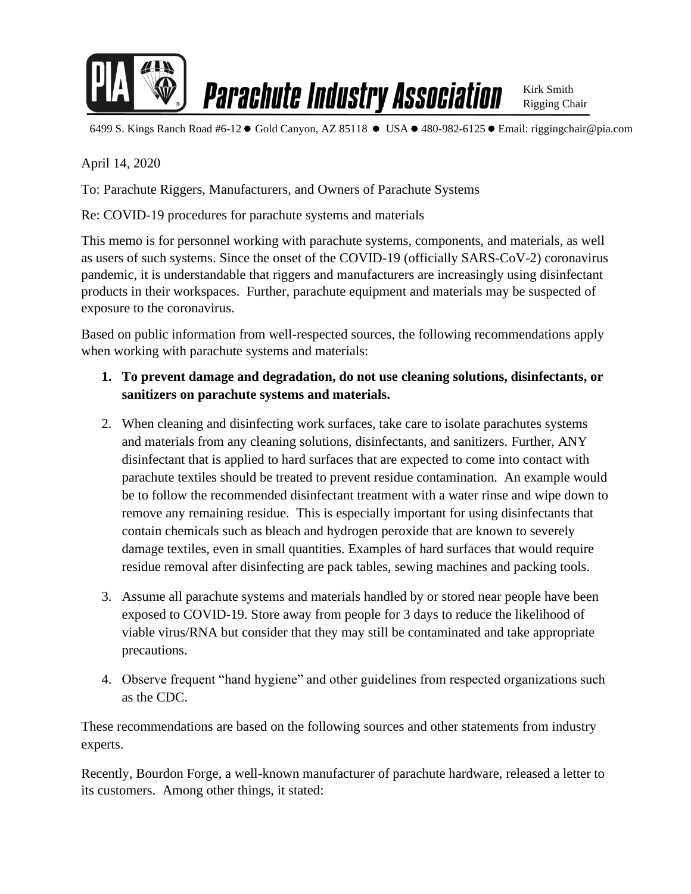

**Parachute Industry Association** 

Kirk Smith Rigging Chair

6499 S. Kings Ranch Road #6-12 ● Gold Canyon, AZ 85118 ● USA ● 480-982-6125 ● Email: riggingchair@pia.com

April 14, 2020

To: Parachute Riggers, Manufacturers, and Owners of Parachute Systems

Re: COVID-19 procedures for parachute systems and materials

This memo is for personnel working with parachute systems, components, and materials, as well as users of such systems. Since the onset of the COVID-19 (officially SARS-CoV-2) coronavirus pandemic, it is understandable that riggers and manufacturers are increasingly using disinfectant products in their workspaces. Further, parachute equipment and materials may be suspected of exposure to the coronavirus.

Based on public information from well-respected sources, the following recommendations apply when working with parachute systems and materials:

- **1. To prevent damage and degradation, do not use cleaning solutions, disinfectants, or sanitizers on parachute systems and materials.**
- 2. When cleaning and disinfecting work surfaces, take care to isolate parachutes systems and materials from any cleaning solutions, disinfectants, and sanitizers. Further, ANY disinfectant that is applied to hard surfaces that are expected to come into contact with parachute textiles should be treated to prevent residue contamination. An example would be to follow the recommended disinfectant treatment with a water rinse and wipe down to remove any remaining residue. This is especially important for using disinfectants that contain chemicals such as bleach and hydrogen peroxide that are known to severely damage textiles, even in small quantities. Examples of hard surfaces that would require residue removal after disinfecting are pack tables, sewing machines and packing tools.
- 3. Assume all parachute systems and materials handled by or stored near people have been exposed to COVID-19. Store away from people for 3 days to reduce the likelihood of viable virus/RNA but consider that they may still be contaminated and take appropriate precautions.
- 4. Observe frequent "hand hygiene" and other guidelines from respected organizations such as the CDC.

These recommendations are based on the following sources and other statements from industry experts.

Recently, Bourdon Forge, a well-known manufacturer of parachute hardware, released a letter to its customers. Among other things, it stated: